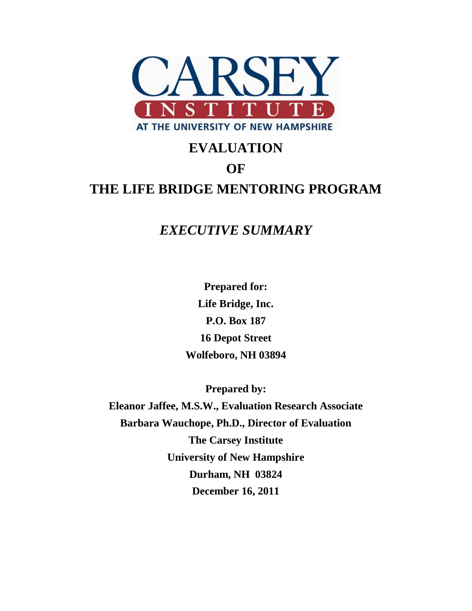

# **EVALUATION OF THE LIFE BRIDGE MENTORING PROGRAM**

## *EXECUTIVE SUMMARY*

**Prepared for: Life Bridge, Inc. P.O. Box 187 16 Depot Street Wolfeboro, NH 03894**

**Prepared by:**

**Eleanor Jaffee, M.S.W., Evaluation Research Associate Barbara Wauchope, Ph.D., Director of Evaluation The Carsey Institute University of New Hampshire Durham, NH 03824 December 16, 2011**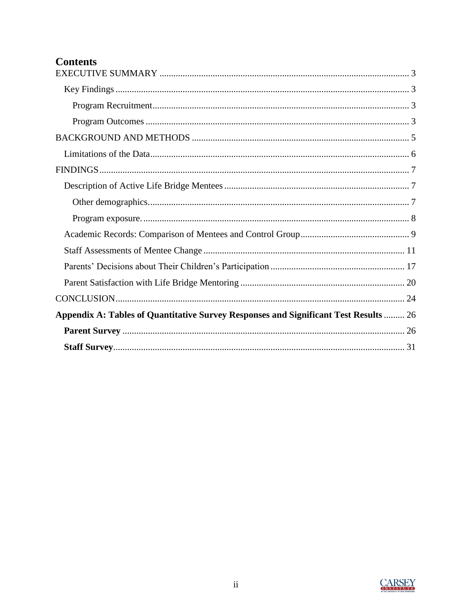### **Contents**

| Appendix A: Tables of Quantitative Survey Responses and Significant Test Results  26 |
|--------------------------------------------------------------------------------------|
|                                                                                      |
|                                                                                      |

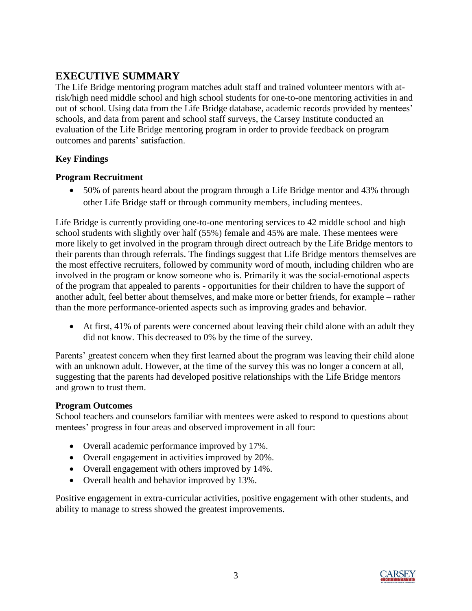### <span id="page-2-0"></span>**EXECUTIVE SUMMARY**

The Life Bridge mentoring program matches adult staff and trained volunteer mentors with atrisk/high need middle school and high school students for one-to-one mentoring activities in and out of school. Using data from the Life Bridge database, academic records provided by mentees" schools, and data from parent and school staff surveys, the Carsey Institute conducted an evaluation of the Life Bridge mentoring program in order to provide feedback on program outcomes and parents" satisfaction.

#### <span id="page-2-1"></span>**Key Findings**

#### <span id="page-2-2"></span>**Program Recruitment**

 50% of parents heard about the program through a Life Bridge mentor and 43% through other Life Bridge staff or through community members, including mentees.

Life Bridge is currently providing one-to-one mentoring services to 42 middle school and high school students with slightly over half (55%) female and 45% are male. These mentees were more likely to get involved in the program through direct outreach by the Life Bridge mentors to their parents than through referrals. The findings suggest that Life Bridge mentors themselves are the most effective recruiters, followed by community word of mouth, including children who are involved in the program or know someone who is. Primarily it was the social-emotional aspects of the program that appealed to parents - opportunities for their children to have the support of another adult, feel better about themselves, and make more or better friends, for example – rather than the more performance-oriented aspects such as improving grades and behavior.

 At first, 41% of parents were concerned about leaving their child alone with an adult they did not know. This decreased to 0% by the time of the survey.

Parents' greatest concern when they first learned about the program was leaving their child alone with an unknown adult. However, at the time of the survey this was no longer a concern at all, suggesting that the parents had developed positive relationships with the Life Bridge mentors and grown to trust them.

#### <span id="page-2-3"></span>**Program Outcomes**

School teachers and counselors familiar with mentees were asked to respond to questions about mentees' progress in four areas and observed improvement in all four:

- Overall academic performance improved by 17%.
- Overall engagement in activities improved by 20%.
- Overall engagement with others improved by 14%.
- Overall health and behavior improved by 13%.

Positive engagement in extra-curricular activities, positive engagement with other students, and ability to manage to stress showed the greatest improvements.

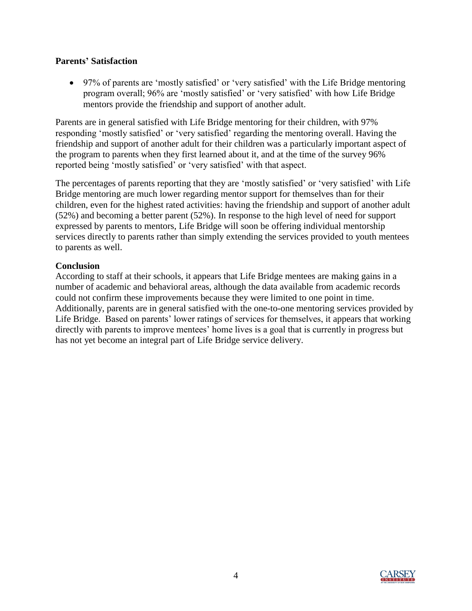#### **Parents' Satisfaction**

• 97% of parents are 'mostly satisfied' or 'very satisfied' with the Life Bridge mentoring program overall; 96% are "mostly satisfied" or "very satisfied" with how Life Bridge mentors provide the friendship and support of another adult.

Parents are in general satisfied with Life Bridge mentoring for their children, with 97% responding 'mostly satisfied' or 'very satisfied' regarding the mentoring overall. Having the friendship and support of another adult for their children was a particularly important aspect of the program to parents when they first learned about it, and at the time of the survey 96% reported being "mostly satisfied" or "very satisfied" with that aspect.

The percentages of parents reporting that they are "mostly satisfied" or "very satisfied" with Life Bridge mentoring are much lower regarding mentor support for themselves than for their children, even for the highest rated activities: having the friendship and support of another adult (52%) and becoming a better parent (52%). In response to the high level of need for support expressed by parents to mentors, Life Bridge will soon be offering individual mentorship services directly to parents rather than simply extending the services provided to youth mentees to parents as well.

#### **Conclusion**

According to staff at their schools, it appears that Life Bridge mentees are making gains in a number of academic and behavioral areas, although the data available from academic records could not confirm these improvements because they were limited to one point in time. Additionally, parents are in general satisfied with the one-to-one mentoring services provided by Life Bridge. Based on parents' lower ratings of services for themselves, it appears that working directly with parents to improve mentees' home lives is a goal that is currently in progress but has not yet become an integral part of Life Bridge service delivery.

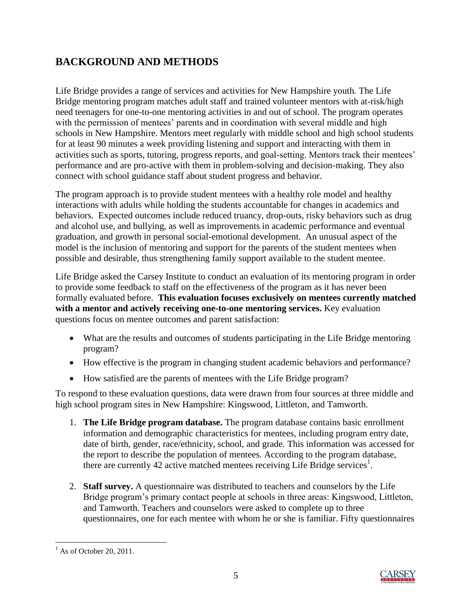### <span id="page-4-0"></span>**BACKGROUND AND METHODS**

Life Bridge provides a range of services and activities for New Hampshire youth. The Life Bridge mentoring program matches adult staff and trained volunteer mentors with at-risk/high need teenagers for one-to-one mentoring activities in and out of school. The program operates with the permission of mentees' parents and in coordination with several middle and high schools in New Hampshire. Mentors meet regularly with middle school and high school students for at least 90 minutes a week providing listening and support and interacting with them in activities such as sports, tutoring, progress reports, and goal-setting. Mentors track their mentees" performance and are pro-active with them in problem-solving and decision-making. They also connect with school guidance staff about student progress and behavior.

The program approach is to provide student mentees with a healthy role model and healthy interactions with adults while holding the students accountable for changes in academics and behaviors. Expected outcomes include reduced truancy, drop-outs, risky behaviors such as drug and alcohol use, and bullying, as well as improvements in academic performance and eventual graduation, and growth in personal social-emotional development. An unusual aspect of the model is the inclusion of mentoring and support for the parents of the student mentees when possible and desirable, thus strengthening family support available to the student mentee.

Life Bridge asked the Carsey Institute to conduct an evaluation of its mentoring program in order to provide some feedback to staff on the effectiveness of the program as it has never been formally evaluated before. **This evaluation focuses exclusively on mentees currently matched with a mentor and actively receiving one-to-one mentoring services.** Key evaluation questions focus on mentee outcomes and parent satisfaction:

- What are the results and outcomes of students participating in the Life Bridge mentoring program?
- How effective is the program in changing student academic behaviors and performance?
- How satisfied are the parents of mentees with the Life Bridge program?

To respond to these evaluation questions, data were drawn from four sources at three middle and high school program sites in New Hampshire: Kingswood, Littleton, and Tamworth.

- 1. **The Life Bridge program database.** The program database contains basic enrollment information and demographic characteristics for mentees, including program entry date, date of birth, gender, race/ethnicity, school, and grade. This information was accessed for the report to describe the population of mentees. According to the program database, there are currently 42 active matched mentees receiving Life Bridge services<sup>1</sup>.
- 2. **Staff survey.** A questionnaire was distributed to teachers and counselors by the Life Bridge program"s primary contact people at schools in three areas: Kingswood, Littleton, and Tamworth. Teachers and counselors were asked to complete up to three questionnaires, one for each mentee with whom he or she is familiar. Fifty questionnaires



 $\overline{\phantom{a}}$  $<sup>1</sup>$  As of October 20, 2011.</sup>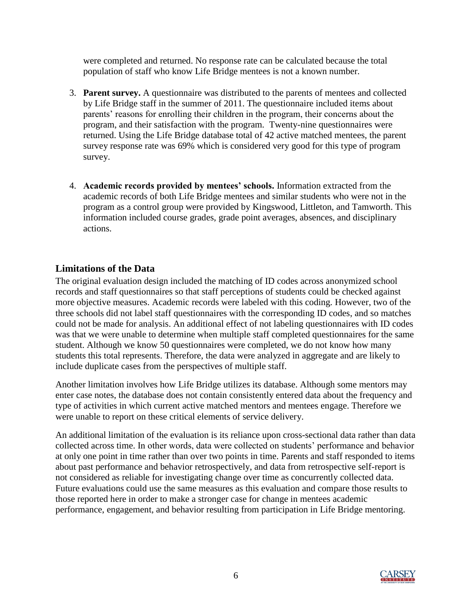were completed and returned. No response rate can be calculated because the total population of staff who know Life Bridge mentees is not a known number.

- 3. **Parent survey.** A questionnaire was distributed to the parents of mentees and collected by Life Bridge staff in the summer of 2011. The questionnaire included items about parents' reasons for enrolling their children in the program, their concerns about the program, and their satisfaction with the program. Twenty-nine questionnaires were returned. Using the Life Bridge database total of 42 active matched mentees, the parent survey response rate was 69% which is considered very good for this type of program survey.
- 4. **Academic records provided by mentees' schools.** Information extracted from the academic records of both Life Bridge mentees and similar students who were not in the program as a control group were provided by Kingswood, Littleton, and Tamworth. This information included course grades, grade point averages, absences, and disciplinary actions.

#### <span id="page-5-0"></span>**Limitations of the Data**

The original evaluation design included the matching of ID codes across anonymized school records and staff questionnaires so that staff perceptions of students could be checked against more objective measures. Academic records were labeled with this coding. However, two of the three schools did not label staff questionnaires with the corresponding ID codes, and so matches could not be made for analysis. An additional effect of not labeling questionnaires with ID codes was that we were unable to determine when multiple staff completed questionnaires for the same student. Although we know 50 questionnaires were completed, we do not know how many students this total represents. Therefore, the data were analyzed in aggregate and are likely to include duplicate cases from the perspectives of multiple staff.

Another limitation involves how Life Bridge utilizes its database. Although some mentors may enter case notes, the database does not contain consistently entered data about the frequency and type of activities in which current active matched mentors and mentees engage. Therefore we were unable to report on these critical elements of service delivery.

An additional limitation of the evaluation is its reliance upon cross-sectional data rather than data collected across time. In other words, data were collected on students" performance and behavior at only one point in time rather than over two points in time. Parents and staff responded to items about past performance and behavior retrospectively, and data from retrospective self-report is not considered as reliable for investigating change over time as concurrently collected data. Future evaluations could use the same measures as this evaluation and compare those results to those reported here in order to make a stronger case for change in mentees academic performance, engagement, and behavior resulting from participation in Life Bridge mentoring.

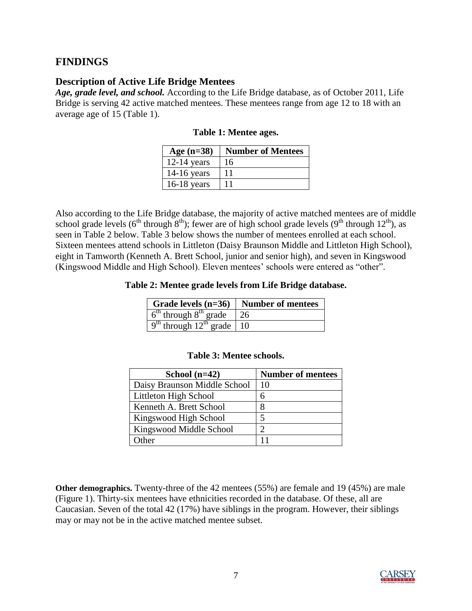#### <span id="page-6-0"></span>**FINDINGS**

#### <span id="page-6-1"></span>**Description of Active Life Bridge Mentees**

*Age, grade level, and school.* According to the Life Bridge database, as of October 2011, Life Bridge is serving 42 active matched mentees. These mentees range from age 12 to 18 with an average age of 15 (Table 1).

| Age $(n=38)$  | <b>Number of Mentees</b> |
|---------------|--------------------------|
| $12-14$ years | 16                       |
| $14-16$ years | 11                       |
| $16-18$ years | 11                       |

Also according to the Life Bridge database, the majority of active matched mentees are of middle school grade levels ( $6<sup>th</sup>$  through  $8<sup>th</sup>$ ); fewer are of high school grade levels ( $9<sup>th</sup>$  through  $12<sup>th</sup>$ ), as seen in Table 2 below. Table 3 below shows the number of mentees enrolled at each school. Sixteen mentees attend schools in Littleton (Daisy Braunson Middle and Littleton High School), eight in Tamworth (Kenneth A. Brett School, junior and senior high), and seven in Kingswood (Kingswood Middle and High School). Eleven mentees' schools were entered as "other".

**Table 2: Mentee grade levels from Life Bridge database.**

| $\vert$ Grade levels (n=36) $\vert$ Number of mentees |    |
|-------------------------------------------------------|----|
| $6th$ through $8th$ grade                             | 26 |
| $\sqrt{9^{th}}$ through $12^{th}$ grade   10          |    |

| School $(n=42)$              | <b>Number of mentees</b> |
|------------------------------|--------------------------|
| Daisy Braunson Middle School | 10                       |
| Littleton High School        |                          |
| Kenneth A. Brett School      |                          |
| Kingswood High School        |                          |
| Kingswood Middle School      |                          |
| $\Delta$ ther                |                          |

#### **Table 3: Mentee schools.**

<span id="page-6-2"></span>**Other demographics.** Twenty-three of the 42 mentees (55%) are female and 19 (45%) are male (Figure 1). Thirty-six mentees have ethnicities recorded in the database. Of these, all are Caucasian. Seven of the total 42 (17%) have siblings in the program. However, their siblings may or may not be in the active matched mentee subset.

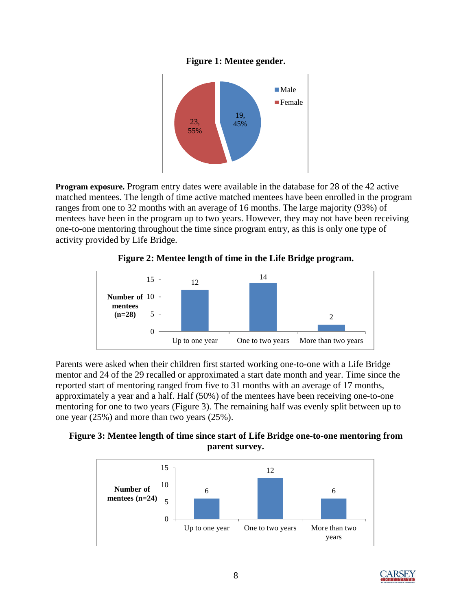#### **Figure 1: Mentee gender.**



<span id="page-7-0"></span>**Program exposure.** Program entry dates were available in the database for 28 of the 42 active matched mentees. The length of time active matched mentees have been enrolled in the program ranges from one to 32 months with an average of 16 months. The large majority (93%) of mentees have been in the program up to two years. However, they may not have been receiving one-to-one mentoring throughout the time since program entry, as this is only one type of activity provided by Life Bridge.

#### **Figure 2: Mentee length of time in the Life Bridge program.**



Parents were asked when their children first started working one-to-one with a Life Bridge mentor and 24 of the 29 recalled or approximated a start date month and year. Time since the reported start of mentoring ranged from five to 31 months with an average of 17 months, approximately a year and a half. Half (50%) of the mentees have been receiving one-to-one mentoring for one to two years (Figure 3). The remaining half was evenly split between up to one year (25%) and more than two years (25%).

#### **Figure 3: Mentee length of time since start of Life Bridge one-to-one mentoring from parent survey.**



<span id="page-7-1"></span>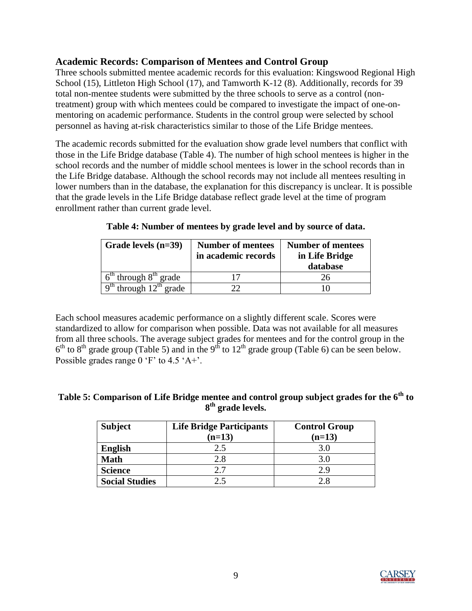#### **Academic Records: Comparison of Mentees and Control Group**

Three schools submitted mentee academic records for this evaluation: Kingswood Regional High School (15), Littleton High School (17), and Tamworth K-12 (8). Additionally, records for 39 total non-mentee students were submitted by the three schools to serve as a control (nontreatment) group with which mentees could be compared to investigate the impact of one-onmentoring on academic performance. Students in the control group were selected by school personnel as having at-risk characteristics similar to those of the Life Bridge mentees.

The academic records submitted for the evaluation show grade level numbers that conflict with those in the Life Bridge database (Table 4). The number of high school mentees is higher in the school records and the number of middle school mentees is lower in the school records than in the Life Bridge database. Although the school records may not include all mentees resulting in lower numbers than in the database, the explanation for this discrepancy is unclear. It is possible that the grade levels in the Life Bridge database reflect grade level at the time of program enrollment rather than current grade level.

| Grade levels $(n=39)$      | <b>Number of mentees</b><br>in academic records | <b>Number of mentees</b><br>in Life Bridge<br>database |
|----------------------------|-------------------------------------------------|--------------------------------------------------------|
| $6th$ through $8th$ grade  |                                                 |                                                        |
| $9th$ through $12th$ grade |                                                 |                                                        |

**Table 4: Number of mentees by grade level and by source of data.**

Each school measures academic performance on a slightly different scale. Scores were standardized to allow for comparison when possible. Data was not available for all measures from all three schools. The average subject grades for mentees and for the control group in the  $6<sup>th</sup>$  to  $8<sup>th</sup>$  grade group (Table 5) and in the  $9<sup>th</sup>$  to  $12<sup>th</sup>$  grade group (Table 6) can be seen below. Possible grades range  $0 \text{ } ^{\circ}F$  to 4.5  $^{\circ}A$ +'.

#### **Table 5: Comparison of Life Bridge mentee and control group subject grades for the 6th to 8 th grade levels.**

| <b>Subject</b>        | <b>Life Bridge Participants</b><br>$(n=13)$ | <b>Control Group</b><br>$(n=13)$ |
|-----------------------|---------------------------------------------|----------------------------------|
| <b>English</b>        | 2.5                                         | 3.0                              |
| <b>Math</b>           | 2.8                                         | 3.0                              |
| <b>Science</b>        | 27                                          | 2.9                              |
| <b>Social Studies</b> | 2.5                                         | 2.8                              |

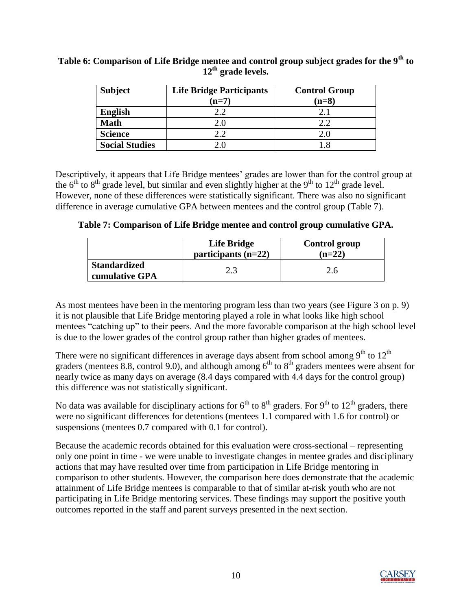| <b>Subject</b>        | <b>Life Bridge Participants</b><br>$(n=7)$ | <b>Control Group</b><br>$(n=8)$ |
|-----------------------|--------------------------------------------|---------------------------------|
| <b>English</b>        | 2.2                                        | 2.1                             |
| <b>Math</b>           |                                            | 2.2                             |
| <b>Science</b>        | 2.2                                        | 2.0                             |
| <b>Social Studies</b> |                                            | -8                              |

**Table 6: Comparison of Life Bridge mentee and control group subject grades for the 9th to 12th grade levels.**

Descriptively, it appears that Life Bridge mentees' grades are lower than for the control group at the  $6<sup>th</sup>$  to  $8<sup>th</sup>$  grade level, but similar and even slightly higher at the  $9<sup>th</sup>$  to  $12<sup>th</sup>$  grade level. However, none of these differences were statistically significant. There was also no significant difference in average cumulative GPA between mentees and the control group (Table 7).

**Table 7: Comparison of Life Bridge mentee and control group cumulative GPA.**

|                                       | Life Bridge<br>participants $(n=22)$ | <b>Control group</b><br>$(n=22)$ |
|---------------------------------------|--------------------------------------|----------------------------------|
| <b>Standardized</b><br>cumulative GPA | 2.3                                  | 2.6                              |

As most mentees have been in the mentoring program less than two years (see Figure 3 on p. 9) it is not plausible that Life Bridge mentoring played a role in what looks like high school mentees "catching up" to their peers. And the more favorable comparison at the high school level is due to the lower grades of the control group rather than higher grades of mentees.

There were no significant differences in average days absent from school among  $9<sup>th</sup>$  to  $12<sup>th</sup>$ graders (mentees 8.8, control 9.0), and although among  $6<sup>th</sup>$  to  $8<sup>th</sup>$  graders mentees were absent for nearly twice as many days on average (8.4 days compared with 4.4 days for the control group) this difference was not statistically significant.

No data was available for disciplinary actions for  $6<sup>th</sup>$  to  $8<sup>th</sup>$  graders. For  $9<sup>th</sup>$  to  $12<sup>th</sup>$  graders, there were no significant differences for detentions (mentees 1.1 compared with 1.6 for control) or suspensions (mentees 0.7 compared with 0.1 for control).

Because the academic records obtained for this evaluation were cross-sectional – representing only one point in time - we were unable to investigate changes in mentee grades and disciplinary actions that may have resulted over time from participation in Life Bridge mentoring in comparison to other students. However, the comparison here does demonstrate that the academic attainment of Life Bridge mentees is comparable to that of similar at-risk youth who are not participating in Life Bridge mentoring services. These findings may support the positive youth outcomes reported in the staff and parent surveys presented in the next section.

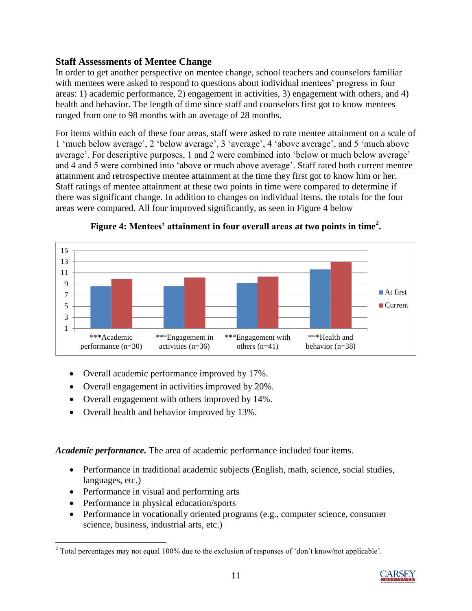#### <span id="page-10-0"></span>**Staff Assessments of Mentee Change**

In order to get another perspective on mentee change, school teachers and counselors familiar with mentees were asked to respond to questions about individual mentees' progress in four areas: 1) academic performance, 2) engagement in activities, 3) engagement with others, and 4) health and behavior. The length of time since staff and counselors first got to know mentees ranged from one to 98 months with an average of 28 months.

For items within each of these four areas, staff were asked to rate mentee attainment on a scale of 1 "much below average", 2 "below average", 3 "average", 4 "above average", and 5 "much above average'. For descriptive purposes, 1 and 2 were combined into 'below or much below average' and 4 and 5 were combined into 'above or much above average'. Staff rated both current mentee attainment and retrospective mentee attainment at the time they first got to know him or her. Staff ratings of mentee attainment at these two points in time were compared to determine if there was significant change. In addition to changes on individual items, the totals for the four areas were compared. All four improved significantly, as seen in Figure 4 below



**Figure 4: Mentees' attainment in four overall areas at two points in time<sup>2</sup> .**

- Overall academic performance improved by 17%.
- Overall engagement in activities improved by 20%.
- Overall engagement with others improved by 14%.
- Overall health and behavior improved by 13%.

*Academic performance.* The area of academic performance included four items.

- Performance in traditional academic subjects (English, math, science, social studies, languages, etc.)
- Performance in visual and performing arts
- Performance in physical education/sports
- Performance in vocationally oriented programs (e.g., computer science, consumer science, business, industrial arts, etc.)

 $\overline{\phantom{a}}$  $2$  Total percentages may not equal 100% due to the exclusion of responses of 'don't know/not applicable'.

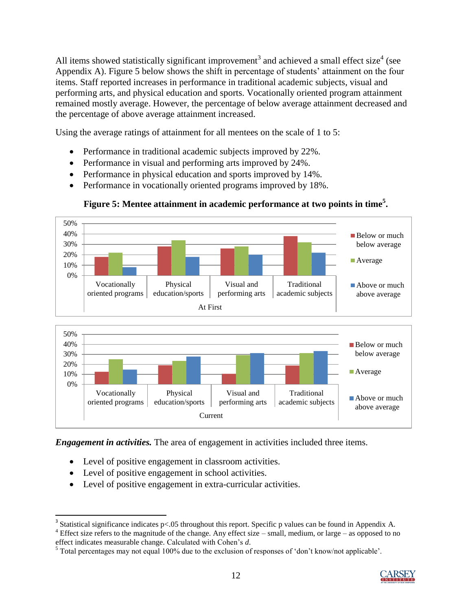All items showed statistically significant improvement<sup>3</sup> and achieved a small effect size<sup>4</sup> (see Appendix A). Figure 5 below shows the shift in percentage of students" attainment on the four items. Staff reported increases in performance in traditional academic subjects, visual and performing arts, and physical education and sports. Vocationally oriented program attainment remained mostly average. However, the percentage of below average attainment decreased and the percentage of above average attainment increased.

Using the average ratings of attainment for all mentees on the scale of 1 to 5:

- Performance in traditional academic subjects improved by 22%.
- Performance in visual and performing arts improved by 24%.
- Performance in physical education and sports improved by 14%.
- Performance in vocationally oriented programs improved by 18%.



#### **Figure 5: Mentee attainment in academic performance at two points in time<sup>5</sup> .**

*Engagement in activities.* The area of engagement in activities included three items.

- Level of positive engagement in classroom activities.
- Level of positive engagement in school activities.

 $\overline{\phantom{a}}$ 

Level of positive engagement in extra-curricular activities.

<sup>4</sup> Effect size refers to the magnitude of the change. Any effect size – small, medium, or large – as opposed to no effect indicates measurable change. Calculated with Cohen"s *d*.

<sup>&</sup>lt;sup>5</sup> Total percentages may not equal 100% due to the exclusion of responses of 'don't know/not applicable'.



<sup>&</sup>lt;sup>3</sup> Statistical significance indicates  $p<0.05$  throughout this report. Specific p values can be found in Appendix A.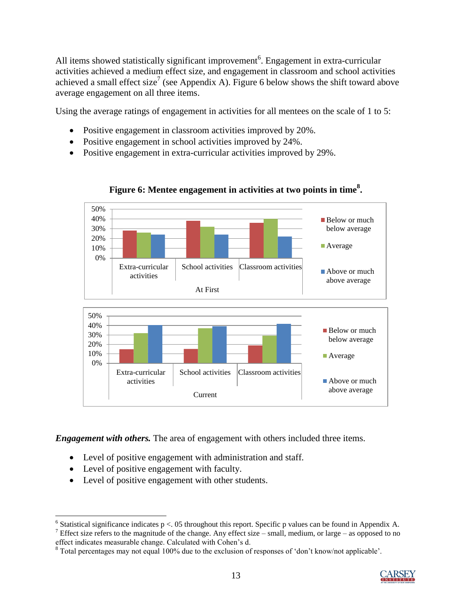All items showed statistically significant improvement<sup>6</sup>. Engagement in extra-curricular activities achieved a medium effect size, and engagement in classroom and school activities achieved a small effect size<sup>7</sup> (see Appendix A). Figure 6 below shows the shift toward above average engagement on all three items.

Using the average ratings of engagement in activities for all mentees on the scale of 1 to 5:

- Positive engagement in classroom activities improved by 20%.
- Positive engagement in school activities improved by 24%.
- Positive engagement in extra-curricular activities improved by 29%.



**Figure 6: Mentee engagement in activities at two points in time<sup>8</sup> .**

*Engagement with others.* The area of engagement with others included three items.

- Level of positive engagement with administration and staff.
- Level of positive engagement with faculty.
- Level of positive engagement with other students.

<sup>7</sup> Effect size refers to the magnitude of the change. Any effect size – small, medium, or large – as opposed to no effect indicates measurable change. Calculated with Cohen"s d.

<sup>8</sup> Total percentages may not equal 100% due to the exclusion of responses of "don"t know/not applicable".



 $\overline{\phantom{a}}$ <sup>6</sup> Statistical significance indicates  $p < 0.05$  throughout this report. Specific p values can be found in Appendix A.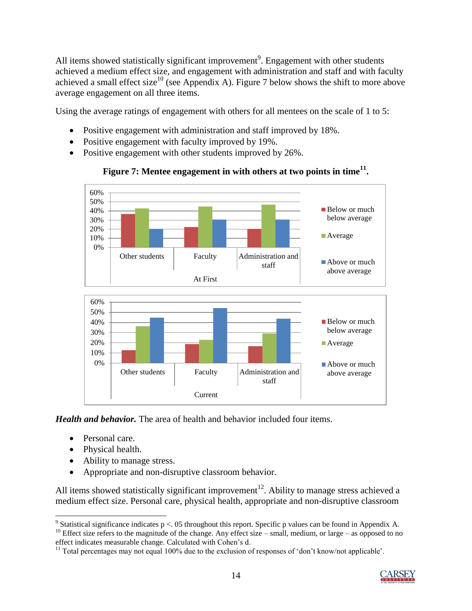All items showed statistically significant improvement<sup>9</sup>. Engagement with other students achieved a medium effect size, and engagement with administration and staff and with faculty achieved a small effect size<sup>10</sup> (see Appendix A). Figure 7 below shows the shift to more above average engagement on all three items.

Using the average ratings of engagement with others for all mentees on the scale of 1 to 5:

- Positive engagement with administration and staff improved by 18%.
- Positive engagement with faculty improved by 19%.
- Positive engagement with other students improved by 26%.



#### **Figure 7: Mentee engagement in with others at two points in time<sup>11</sup> .**



*Health and behavior.* The area of health and behavior included four items.

- Personal care.
- Physical health.
- Ability to manage stress.
- Appropriate and non-disruptive classroom behavior.

All items showed statistically significant improvement<sup>12</sup>. Ability to manage stress achieved a medium effect size. Personal care, physical health, appropriate and non-disruptive classroom

<sup>&</sup>lt;sup>11</sup> Total percentages may not equal 100% due to the exclusion of responses of 'don't know/not applicable'.



<sup>&</sup>lt;sup>9</sup> Statistical significance indicates p < 05 throughout this report. Specific p values can be found in Appendix A. 10 Effect size refers to the magnitude of the change. Any effect size – small, medium, or large – as opposed to no

effect indicates measurable change. Calculated with Cohen"s d.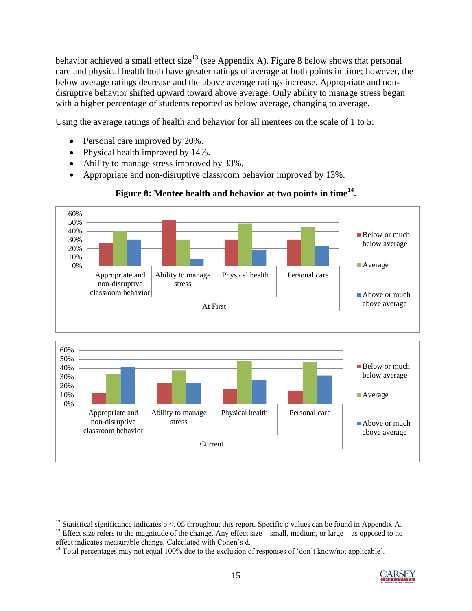behavior achieved a small effect size<sup>13</sup> (see Appendix A). Figure 8 below shows that personal care and physical health both have greater ratings of average at both points in time; however, the below average ratings decrease and the above average ratings increase. Appropriate and nondisruptive behavior shifted upward toward above average. Only ability to manage stress began with a higher percentage of students reported as below average, changing to average.

Using the average ratings of health and behavior for all mentees on the scale of 1 to 5:

Personal care improved by 20%.

 $\overline{\phantom{a}}$ 

- Physical health improved by 14%.
- Ability to manage stress improved by 33%.
- Appropriate and non-disruptive classroom behavior improved by 13%.

#### 0% 10% 20% 30% 40% 50% 60% Appropriate and non-disruptive classroom behavior Ability to manage stress Physical health Personal care At First ■Below or much below average **Average** Above or much above average 0% 10% 20% 30% 40% 50% 60% Appropriate and non-disruptive classroom behavior Ability to manage stress Physical health Personal care Current ■Below or much below average **Average** Above or much above average

#### **Figure 8: Mentee health and behavior at two points in time<sup>14</sup> .**

<sup>&</sup>lt;sup>14</sup> Total percentages may not equal 100% due to the exclusion of responses of 'don't know/not applicable'.



<sup>&</sup>lt;sup>12</sup> Statistical significance indicates  $p < 0.05$  throughout this report. Specific p values can be found in Appendix A.

<sup>&</sup>lt;sup>13</sup> Effect size refers to the magnitude of the change. Any effect size – small, medium, or large – as opposed to no effect indicates measurable change. Calculated with Cohen"s d.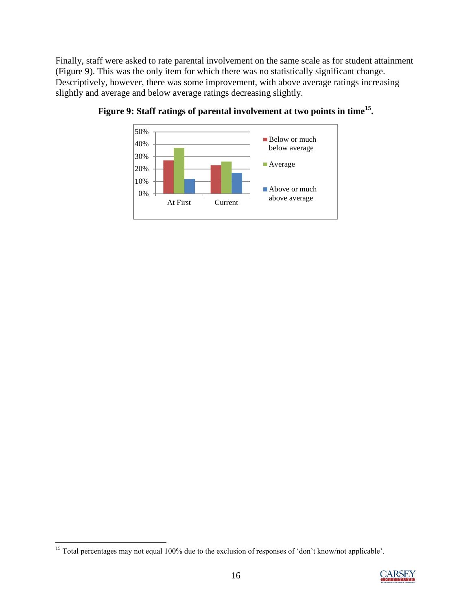Finally, staff were asked to rate parental involvement on the same scale as for student attainment (Figure 9). This was the only item for which there was no statistically significant change. Descriptively, however, there was some improvement, with above average ratings increasing slightly and average and below average ratings decreasing slightly.





 $\overline{\phantom{a}}$ <sup>15</sup> Total percentages may not equal 100% due to the exclusion of responses of 'don't know/not applicable'.

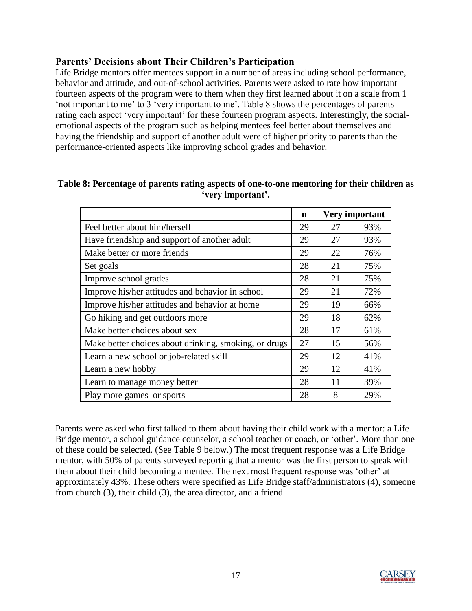#### <span id="page-16-0"></span>**Parents' Decisions about Their Children's Participation**

Life Bridge mentors offer mentees support in a number of areas including school performance, behavior and attitude, and out-of-school activities. Parents were asked to rate how important fourteen aspects of the program were to them when they first learned about it on a scale from 1 "not important to me" to 3 "very important to me". Table 8 shows the percentages of parents rating each aspect 'very important' for these fourteen program aspects. Interestingly, the socialemotional aspects of the program such as helping mentees feel better about themselves and having the friendship and support of another adult were of higher priority to parents than the performance-oriented aspects like improving school grades and behavior.

|                                                       | n  | <b>Very important</b> |     |
|-------------------------------------------------------|----|-----------------------|-----|
| Feel better about him/herself                         | 29 | 27                    | 93% |
| Have friendship and support of another adult          | 29 | 27                    | 93% |
| Make better or more friends                           | 29 | 22                    | 76% |
| Set goals                                             | 28 | 21                    | 75% |
| Improve school grades                                 | 28 | 21                    | 75% |
| Improve his/her attitudes and behavior in school      | 29 | 21                    | 72% |
| Improve his/her attitudes and behavior at home        | 29 | 19                    | 66% |
| Go hiking and get outdoors more                       | 29 | 18                    | 62% |
| Make better choices about sex                         | 28 | 17                    | 61% |
| Make better choices about drinking, smoking, or drugs | 27 | 15                    | 56% |
| Learn a new school or job-related skill               | 29 | 12                    | 41% |
| Learn a new hobby                                     | 29 | 12                    | 41% |
| Learn to manage money better                          | 28 | 11                    | 39% |
| Play more games or sports                             | 28 | 8                     | 29% |

#### **Table 8: Percentage of parents rating aspects of one-to-one mentoring for their children as 'very important'.**

Parents were asked who first talked to them about having their child work with a mentor: a Life Bridge mentor, a school guidance counselor, a school teacher or coach, or 'other'. More than one of these could be selected. (See Table 9 below.) The most frequent response was a Life Bridge mentor, with 50% of parents surveyed reporting that a mentor was the first person to speak with them about their child becoming a mentee. The next most frequent response was "other" at approximately 43%. These others were specified as Life Bridge staff/administrators (4), someone from church (3), their child (3), the area director, and a friend.

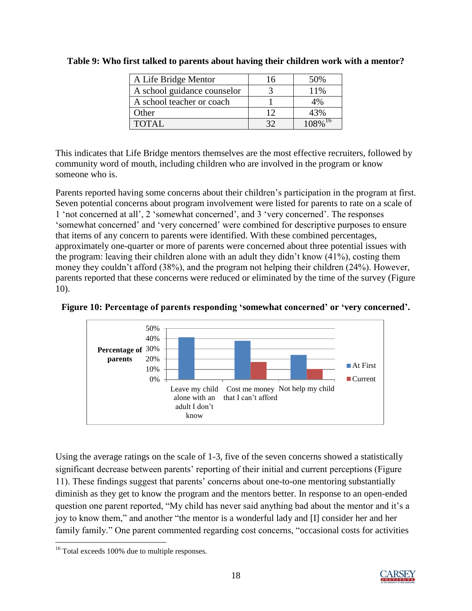| A Life Bridge Mentor        | 16 | 50%                   |
|-----------------------------|----|-----------------------|
| A school guidance counselor |    | 11%                   |
| A school teacher or coach   |    | 4%                    |
| Other                       | 12 | 43%                   |
| <b>TOTAL</b>                | 37 | $108\%$ <sup>16</sup> |

**Table 9: Who first talked to parents about having their children work with a mentor?**

This indicates that Life Bridge mentors themselves are the most effective recruiters, followed by community word of mouth, including children who are involved in the program or know someone who is.

Parents reported having some concerns about their children"s participation in the program at first. Seven potential concerns about program involvement were listed for parents to rate on a scale of 1 "not concerned at all", 2 "somewhat concerned", and 3 "very concerned". The responses "somewhat concerned" and "very concerned" were combined for descriptive purposes to ensure that items of any concern to parents were identified. With these combined percentages, approximately one-quarter or more of parents were concerned about three potential issues with the program: leaving their children alone with an adult they didn"t know (41%), costing them money they couldn"t afford (38%), and the program not helping their children (24%). However, parents reported that these concerns were reduced or eliminated by the time of the survey (Figure 10).



**Figure 10: Percentage of parents responding 'somewhat concerned' or 'very concerned'.**

Using the average ratings on the scale of 1-3, five of the seven concerns showed a statistically significant decrease between parents' reporting of their initial and current perceptions (Figure 11). These findings suggest that parents" concerns about one-to-one mentoring substantially diminish as they get to know the program and the mentors better. In response to an open-ended question one parent reported, "My child has never said anything bad about the mentor and it's a joy to know them," and another "the mentor is a wonderful lady and [I] consider her and her family family." One parent commented regarding cost concerns, "occasional costs for activities



 $\overline{\phantom{a}}$ <sup>16</sup> Total exceeds 100% due to multiple responses.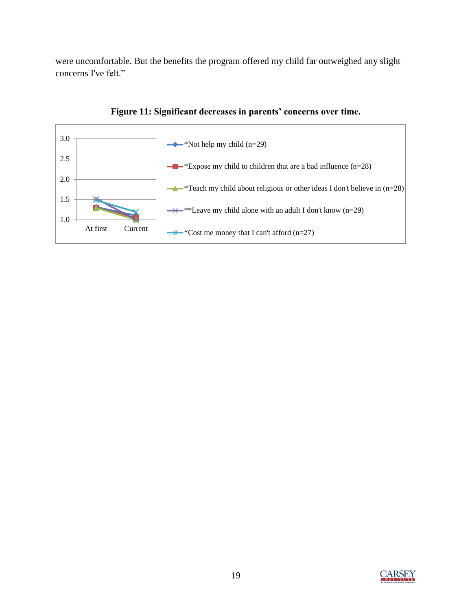were uncomfortable. But the benefits the program offered my child far outweighed any slight concerns I've felt."





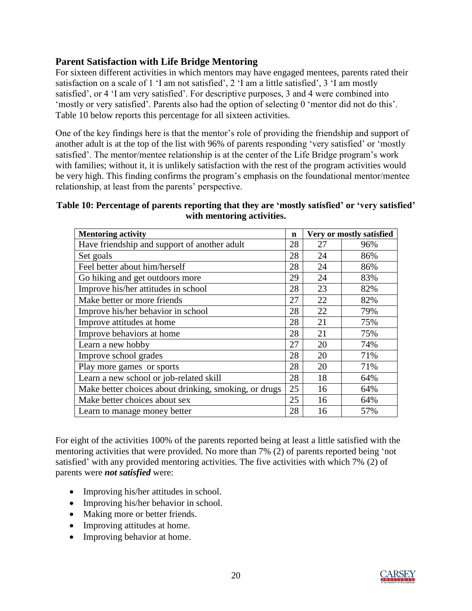#### <span id="page-19-0"></span>**Parent Satisfaction with Life Bridge Mentoring**

For sixteen different activities in which mentors may have engaged mentees, parents rated their satisfaction on a scale of 1 'I am not satisfied', 2 'I am a little satisfied', 3 'I am mostly satisfied", or 4 "I am very satisfied". For descriptive purposes, 3 and 4 were combined into "mostly or very satisfied". Parents also had the option of selecting 0 'mentor did not do this'. Table 10 below reports this percentage for all sixteen activities.

One of the key findings here is that the mentor"s role of providing the friendship and support of another adult is at the top of the list with 96% of parents responding "very satisfied" or "mostly satisfied'. The mentor/mentee relationship is at the center of the Life Bridge program's work with families; without it, it is unlikely satisfaction with the rest of the program activities would be very high. This finding confirms the program"s emphasis on the foundational mentor/mentee relationship, at least from the parents' perspective.

#### **Table 10: Percentage of parents reporting that they are 'mostly satisfied' or 'very satisfied' with mentoring activities.**

| <b>Mentoring activity</b>                             | $\mathbf n$ | Very or mostly satisfied |     |
|-------------------------------------------------------|-------------|--------------------------|-----|
| Have friendship and support of another adult          | 28          | 27                       | 96% |
| Set goals                                             | 28          | 24                       | 86% |
| Feel better about him/herself                         | 28          | 24                       | 86% |
| Go hiking and get outdoors more                       | 29          | 24                       | 83% |
| Improve his/her attitudes in school                   | 28          | 23                       | 82% |
| Make better or more friends                           | 27          | 22                       | 82% |
| Improve his/her behavior in school                    | 28          | 22                       | 79% |
| Improve attitudes at home                             | 28          | 21                       | 75% |
| Improve behaviors at home                             | 28          | 21                       | 75% |
| Learn a new hobby                                     | 27          | 20                       | 74% |
| Improve school grades                                 | 28          | 20                       | 71% |
| Play more games or sports                             | 28          | 20                       | 71% |
| Learn a new school or job-related skill               | 28          | 18                       | 64% |
| Make better choices about drinking, smoking, or drugs | 25          | 16                       | 64% |
| Make better choices about sex                         | 25          | 16                       | 64% |
| Learn to manage money better                          | 28          | 16                       | 57% |

For eight of the activities 100% of the parents reported being at least a little satisfied with the mentoring activities that were provided. No more than 7% (2) of parents reported being "not satisfied' with any provided mentoring activities. The five activities with which 7% (2) of parents were *not satisfied* were:

- Improving his/her attitudes in school.
- Improving his/her behavior in school.
- Making more or better friends.
- Improving attitudes at home.
- Improving behavior at home.

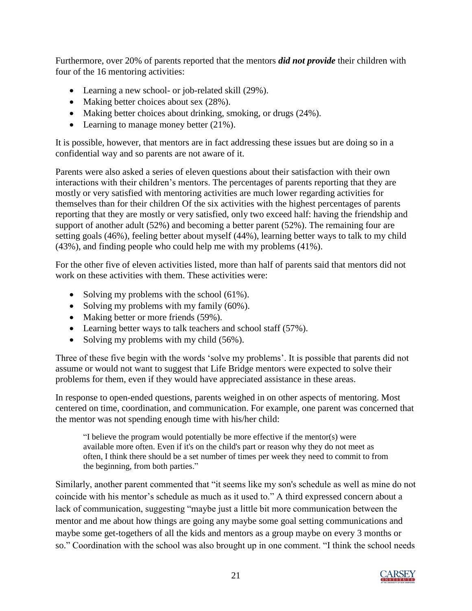Furthermore, over 20% of parents reported that the mentors *did not provide* their children with four of the 16 mentoring activities:

- Learning a new school- or job-related skill (29%).
- Making better choices about sex (28%).
- Making better choices about drinking, smoking, or drugs (24%).
- Learning to manage money better (21%).

It is possible, however, that mentors are in fact addressing these issues but are doing so in a confidential way and so parents are not aware of it.

Parents were also asked a series of eleven questions about their satisfaction with their own interactions with their children"s mentors. The percentages of parents reporting that they are mostly or very satisfied with mentoring activities are much lower regarding activities for themselves than for their children Of the six activities with the highest percentages of parents reporting that they are mostly or very satisfied, only two exceed half: having the friendship and support of another adult (52%) and becoming a better parent (52%). The remaining four are setting goals (46%), feeling better about myself (44%), learning better ways to talk to my child (43%), and finding people who could help me with my problems (41%).

For the other five of eleven activities listed, more than half of parents said that mentors did not work on these activities with them. These activities were:

- Solving my problems with the school  $(61\%)$ .
- Solving my problems with my family (60%).
- Making better or more friends (59%).
- Learning better ways to talk teachers and school staff (57%).
- Solving my problems with my child  $(56\%)$ .

Three of these five begin with the words 'solve my problems'. It is possible that parents did not assume or would not want to suggest that Life Bridge mentors were expected to solve their problems for them, even if they would have appreciated assistance in these areas.

In response to open-ended questions, parents weighed in on other aspects of mentoring. Most centered on time, coordination, and communication. For example, one parent was concerned that the mentor was not spending enough time with his/her child:

"I believe the program would potentially be more effective if the mentor(s) were available more often. Even if it's on the child's part or reason why they do not meet as often, I think there should be a set number of times per week they need to commit to from the beginning, from both parties."

Similarly, another parent commented that "it seems like my son's schedule as well as mine do not coincide with his mentor's schedule as much as it used to." A third expressed concern about a lack of communication, suggesting "maybe just a little bit more communication between the mentor and me about how things are going any maybe some goal setting communications and maybe some get-togethers of all the kids and mentors as a group maybe on every 3 months or so." Coordination with the school was also brought up in one comment. "I think the school needs

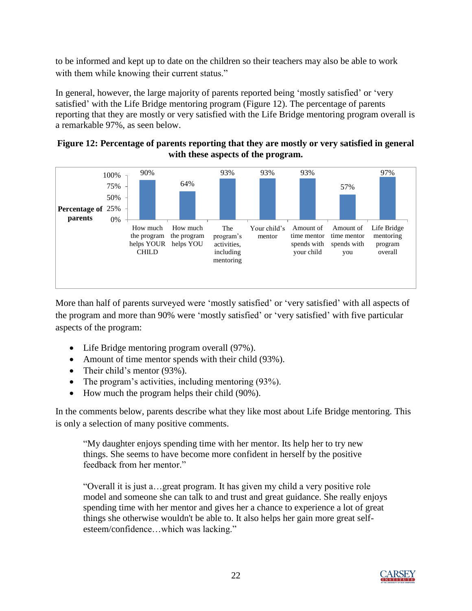to be informed and kept up to date on the children so their teachers may also be able to work with them while knowing their current status."

In general, however, the large majority of parents reported being 'mostly satisfied' or 'very satisfied' with the Life Bridge mentoring program (Figure 12). The percentage of parents reporting that they are mostly or very satisfied with the Life Bridge mentoring program overall is a remarkable 97%, as seen below.





More than half of parents surveyed were "mostly satisfied" or "very satisfied" with all aspects of the program and more than 90% were "mostly satisfied" or "very satisfied" with five particular aspects of the program:

- Life Bridge mentoring program overall (97%).
- Amount of time mentor spends with their child (93%).
- Their child's mentor (93%).
- The program's activities, including mentoring (93%).
- How much the program helps their child (90%).

In the comments below, parents describe what they like most about Life Bridge mentoring. This is only a selection of many positive comments.

"My daughter enjoys spending time with her mentor. Its help her to try new things. She seems to have become more confident in herself by the positive feedback from her mentor."

"Overall it is just a…great program. It has given my child a very positive role model and someone she can talk to and trust and great guidance. She really enjoys spending time with her mentor and gives her a chance to experience a lot of great things she otherwise wouldn't be able to. It also helps her gain more great selfesteem/confidence…which was lacking."

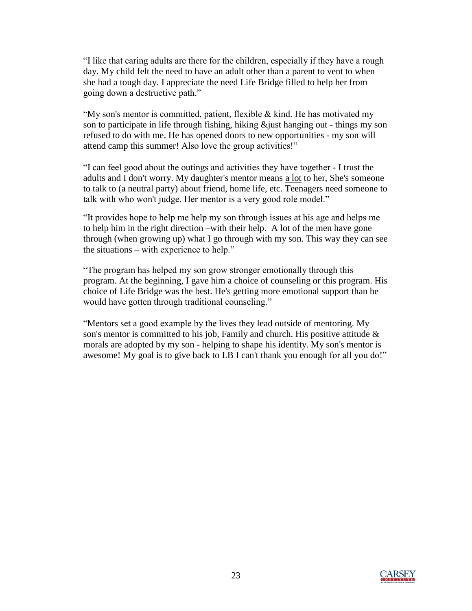"I like that caring adults are there for the children, especially if they have a rough day. My child felt the need to have an adult other than a parent to vent to when she had a tough day. I appreciate the need Life Bridge filled to help her from going down a destructive path."

"My son's mentor is committed, patient, flexible & kind. He has motivated my son to participate in life through fishing, hiking &just hanging out - things my son refused to do with me. He has opened doors to new opportunities - my son will attend camp this summer! Also love the group activities!"

"I can feel good about the outings and activities they have together - I trust the adults and I don't worry. My daughter's mentor means a lot to her, She's someone to talk to (a neutral party) about friend, home life, etc. Teenagers need someone to talk with who won't judge. Her mentor is a very good role model."

"It provides hope to help me help my son through issues at his age and helps me to help him in the right direction –with their help. A lot of the men have gone through (when growing up) what I go through with my son. This way they can see the situations – with experience to help."

"The program has helped my son grow stronger emotionally through this program. At the beginning, I gave him a choice of counseling or this program. His choice of Life Bridge was the best. He's getting more emotional support than he would have gotten through traditional counseling."

"Mentors set a good example by the lives they lead outside of mentoring. My son's mentor is committed to his job, Family and church. His positive attitude  $\&$ morals are adopted by my son - helping to shape his identity. My son's mentor is awesome! My goal is to give back to LB I can't thank you enough for all you do!"

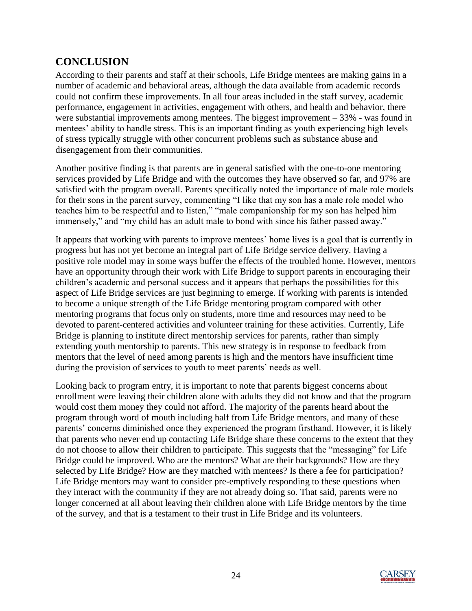### <span id="page-23-0"></span>**CONCLUSION**

According to their parents and staff at their schools, Life Bridge mentees are making gains in a number of academic and behavioral areas, although the data available from academic records could not confirm these improvements. In all four areas included in the staff survey, academic performance, engagement in activities, engagement with others, and health and behavior, there were substantial improvements among mentees. The biggest improvement – 33% - was found in mentees' ability to handle stress. This is an important finding as youth experiencing high levels of stress typically struggle with other concurrent problems such as substance abuse and disengagement from their communities.

Another positive finding is that parents are in general satisfied with the one-to-one mentoring services provided by Life Bridge and with the outcomes they have observed so far, and 97% are satisfied with the program overall. Parents specifically noted the importance of male role models for their sons in the parent survey, commenting "I like that my son has a male role model who teaches him to be respectful and to listen," "male companionship for my son has helped him immensely," and "my child has an adult male to bond with since his father passed away."

It appears that working with parents to improve mentees' home lives is a goal that is currently in progress but has not yet become an integral part of Life Bridge service delivery. Having a positive role model may in some ways buffer the effects of the troubled home. However, mentors have an opportunity through their work with Life Bridge to support parents in encouraging their children"s academic and personal success and it appears that perhaps the possibilities for this aspect of Life Bridge services are just beginning to emerge. If working with parents is intended to become a unique strength of the Life Bridge mentoring program compared with other mentoring programs that focus only on students, more time and resources may need to be devoted to parent-centered activities and volunteer training for these activities. Currently, Life Bridge is planning to institute direct mentorship services for parents, rather than simply extending youth mentorship to parents. This new strategy is in response to feedback from mentors that the level of need among parents is high and the mentors have insufficient time during the provision of services to youth to meet parents' needs as well.

Looking back to program entry, it is important to note that parents biggest concerns about enrollment were leaving their children alone with adults they did not know and that the program would cost them money they could not afford. The majority of the parents heard about the program through word of mouth including half from Life Bridge mentors, and many of these parents' concerns diminished once they experienced the program firsthand. However, it is likely that parents who never end up contacting Life Bridge share these concerns to the extent that they do not choose to allow their children to participate. This suggests that the "messaging" for Life Bridge could be improved. Who are the mentors? What are their backgrounds? How are they selected by Life Bridge? How are they matched with mentees? Is there a fee for participation? Life Bridge mentors may want to consider pre-emptively responding to these questions when they interact with the community if they are not already doing so. That said, parents were no longer concerned at all about leaving their children alone with Life Bridge mentors by the time of the survey, and that is a testament to their trust in Life Bridge and its volunteers.

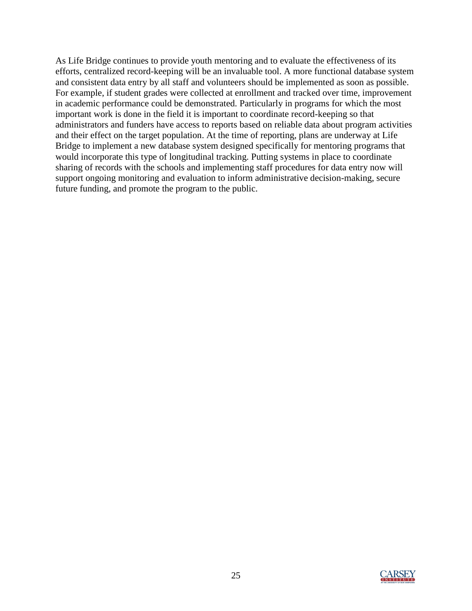As Life Bridge continues to provide youth mentoring and to evaluate the effectiveness of its efforts, centralized record-keeping will be an invaluable tool. A more functional database system and consistent data entry by all staff and volunteers should be implemented as soon as possible. For example, if student grades were collected at enrollment and tracked over time, improvement in academic performance could be demonstrated. Particularly in programs for which the most important work is done in the field it is important to coordinate record-keeping so that administrators and funders have access to reports based on reliable data about program activities and their effect on the target population. At the time of reporting, plans are underway at Life Bridge to implement a new database system designed specifically for mentoring programs that would incorporate this type of longitudinal tracking. Putting systems in place to coordinate sharing of records with the schools and implementing staff procedures for data entry now will support ongoing monitoring and evaluation to inform administrative decision-making, secure future funding, and promote the program to the public.

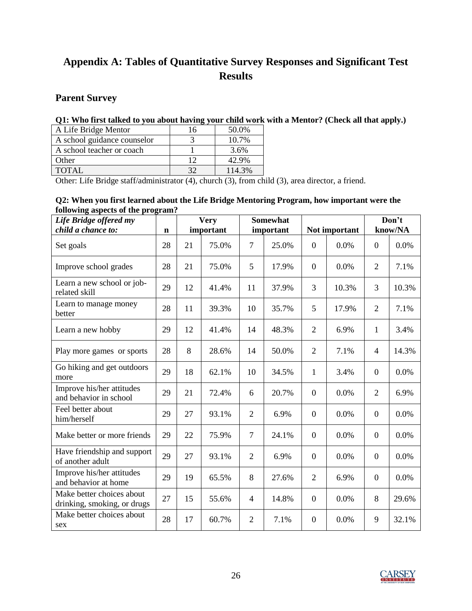### <span id="page-25-0"></span>**Appendix A: Tables of Quantitative Survey Responses and Significant Test Results**

#### <span id="page-25-1"></span>**Parent Survey**

#### **Q1: Who first talked to you about having your child work with a Mentor? (Check all that apply.)**

| A Life Bridge Mentor        | 16           | 50.0%  |
|-----------------------------|--------------|--------|
| A school guidance counselor |              | 10.7%  |
| A school teacher or coach   |              | 3.6%   |
| Other                       | 12           | 42.9%  |
| TOTAL                       | $32^{\circ}$ | 114.3% |

Other: Life Bridge staff/administrator (4), church (3), from child (3), area director, a friend.

#### **Q2: When you first learned about the Life Bridge Mentoring Program, how important were the following aspects of the program?**

| Life Bridge offered my<br>child a chance to:             |             | <b>Very</b><br>important |       | <b>Somewhat</b><br>important |       | Not important    |       | Don't<br>know/NA |       |
|----------------------------------------------------------|-------------|--------------------------|-------|------------------------------|-------|------------------|-------|------------------|-------|
|                                                          | $\mathbf n$ |                          |       |                              |       |                  |       |                  |       |
| Set goals                                                | 28          | 21                       | 75.0% | 7                            | 25.0% | $\boldsymbol{0}$ | 0.0%  | $\boldsymbol{0}$ | 0.0%  |
| Improve school grades                                    | 28          | 21                       | 75.0% | 5                            | 17.9% | $\mathbf{0}$     | 0.0%  | $\overline{2}$   | 7.1%  |
| Learn a new school or job-<br>related skill              | 29          | 12                       | 41.4% | 11                           | 37.9% | 3                | 10.3% | $\overline{3}$   | 10.3% |
| Learn to manage money<br>better                          | 28          | 11                       | 39.3% | 10                           | 35.7% | 5                | 17.9% | $\overline{2}$   | 7.1%  |
| Learn a new hobby                                        | 29          | 12                       | 41.4% | 14                           | 48.3% | $\overline{2}$   | 6.9%  | $\mathbf{1}$     | 3.4%  |
| Play more games or sports                                | 28          | 8                        | 28.6% | 14                           | 50.0% | $\overline{2}$   | 7.1%  | $\overline{4}$   | 14.3% |
| Go hiking and get outdoors<br>more                       | 29          | 18                       | 62.1% | 10                           | 34.5% | $\mathbf{1}$     | 3.4%  | $\boldsymbol{0}$ | 0.0%  |
| Improve his/her attitudes<br>and behavior in school      | 29          | 21                       | 72.4% | 6                            | 20.7% | $\overline{0}$   | 0.0%  | $\overline{2}$   | 6.9%  |
| Feel better about<br>him/herself                         | 29          | 27                       | 93.1% | $\overline{2}$               | 6.9%  | $\mathbf{0}$     | 0.0%  | $\boldsymbol{0}$ | 0.0%  |
| Make better or more friends                              | 29          | 22                       | 75.9% | $\tau$                       | 24.1% | $\overline{0}$   | 0.0%  | $\overline{0}$   | 0.0%  |
| Have friendship and support<br>of another adult          | 29          | 27                       | 93.1% | $\overline{2}$               | 6.9%  | $\overline{0}$   | 0.0%  | $\overline{0}$   | 0.0%  |
| Improve his/her attitudes<br>and behavior at home        | 29          | 19                       | 65.5% | 8                            | 27.6% | $\overline{2}$   | 6.9%  | $\boldsymbol{0}$ | 0.0%  |
| Make better choices about<br>drinking, smoking, or drugs | 27          | 15                       | 55.6% | $\overline{4}$               | 14.8% | $\overline{0}$   | 0.0%  | 8                | 29.6% |
| Make better choices about<br>sex                         | 28          | 17                       | 60.7% | $\overline{2}$               | 7.1%  | $\overline{0}$   | 0.0%  | 9                | 32.1% |

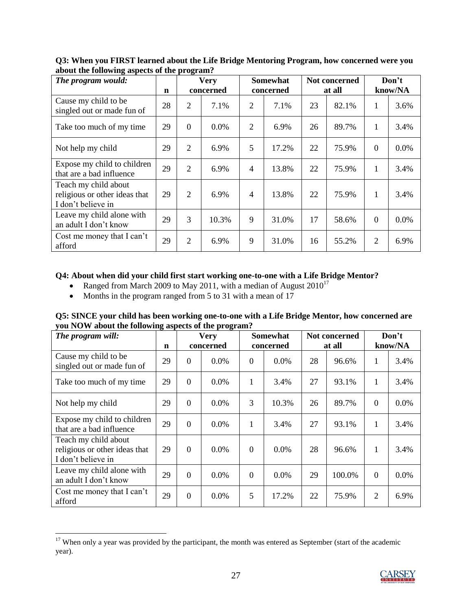| The program would:                                                          |    |                | <b>Very</b> |                | <b>Somewhat</b> | Not concerned |        | Don't          |         |
|-----------------------------------------------------------------------------|----|----------------|-------------|----------------|-----------------|---------------|--------|----------------|---------|
|                                                                             | n  |                | concerned   |                | concerned       |               | at all |                | know/NA |
| Cause my child to be<br>singled out or made fun of                          | 28 | $\overline{2}$ | 7.1%        | $\overline{2}$ | 7.1%            | 23            | 82.1%  | 1              | 3.6%    |
| Take too much of my time                                                    | 29 | $\Omega$       | 0.0%        | $\overline{2}$ | 6.9%            | 26            | 89.7%  | 1              | 3.4%    |
| Not help my child                                                           | 29 | 2              | 6.9%        | 5              | 17.2%           | 22            | 75.9%  | $\theta$       | 0.0%    |
| Expose my child to children<br>that are a bad influence                     | 29 | $\overline{2}$ | 6.9%        | $\overline{4}$ | 13.8%           | 22            | 75.9%  | 1              | 3.4%    |
| Teach my child about<br>religious or other ideas that<br>I don't believe in | 29 | $\overline{2}$ | 6.9%        | $\overline{4}$ | 13.8%           | 22            | 75.9%  | 1              | 3.4%    |
| Leave my child alone with<br>an adult I don't know                          | 29 | 3              | 10.3%       | 9              | 31.0%           | 17            | 58.6%  | $\theta$       | 0.0%    |
| Cost me money that I can't<br>afford                                        | 29 | $\overline{2}$ | 6.9%        | 9              | 31.0%           | 16            | 55.2%  | $\overline{2}$ | 6.9%    |

**Q3: When you FIRST learned about the Life Bridge Mentoring Program, how concerned were you about the following aspects of the program?**

#### **Q4: About when did your child first start working one-to-one with a Life Bridge Mentor?**

- Ranged from March 2009 to May 2011, with a median of August  $2010^{17}$
- Months in the program ranged from 5 to 31 with a mean of 17

 $\overline{\phantom{a}}$ 

| Q5: SINCE your child has been working one-to-one with a Life Bridge Mentor, how concerned are |  |
|-----------------------------------------------------------------------------------------------|--|
| you NOW about the following aspects of the program?                                           |  |

| The program will:                                                           | o …r        |                | <b>Very</b> |                | <b>Somewhat</b> | Not concerned |        | Don't          |         |
|-----------------------------------------------------------------------------|-------------|----------------|-------------|----------------|-----------------|---------------|--------|----------------|---------|
|                                                                             | $\mathbf n$ |                | concerned   |                | concerned       |               | at all |                | know/NA |
| Cause my child to be<br>singled out or made fun of                          | 29          | $\overline{0}$ | 0.0%        | $\mathbf{0}$   | 0.0%            | 28            | 96.6%  | 1              | 3.4%    |
| Take too much of my time                                                    | 29          | $\overline{0}$ | 0.0%        | $\mathbf{1}$   | 3.4%            | 27            | 93.1%  | $\mathbf{1}$   | 3.4%    |
| Not help my child                                                           | 29          | $\overline{0}$ | 0.0%        | 3              | 10.3%           | 26            | 89.7%  | $\overline{0}$ | 0.0%    |
| Expose my child to children<br>that are a bad influence                     | 29          | $\Omega$       | 0.0%        | $\mathbf{1}$   | 3.4%            | 27            | 93.1%  | 1              | 3.4%    |
| Teach my child about<br>religious or other ideas that<br>I don't believe in | 29          | $\Omega$       | 0.0%        | $\theta$       | 0.0%            | 28            | 96.6%  | 1              | 3.4%    |
| Leave my child alone with<br>an adult I don't know                          | 29          | $\Omega$       | 0.0%        | $\overline{0}$ | 0.0%            | 29            | 100.0% | $\overline{0}$ | 0.0%    |
| Cost me money that I can't<br>afford                                        | 29          | $\overline{0}$ | 0.0%        | 5              | 17.2%           | 22            | 75.9%  | $\overline{2}$ | 6.9%    |

 $17$  When only a year was provided by the participant, the month was entered as September (start of the academic year).

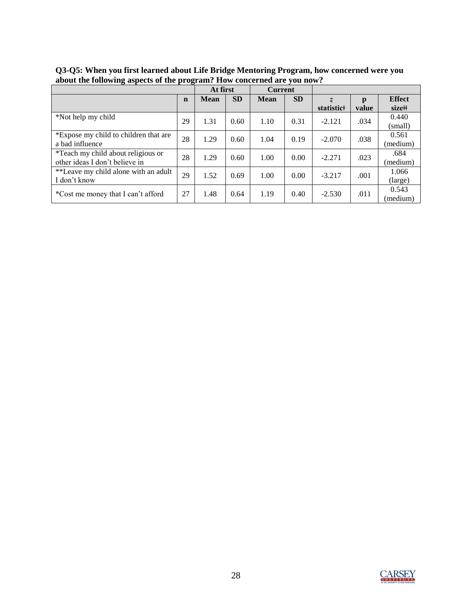|                                       |             | At first    |           | <b>Current</b> |           |            |       |               |
|---------------------------------------|-------------|-------------|-----------|----------------|-----------|------------|-------|---------------|
|                                       | $\mathbf n$ | <b>Mean</b> | <b>SD</b> | <b>Mean</b>    | <b>SD</b> |            | p     | <b>Effect</b> |
|                                       |             |             |           |                |           | statistic# | value | size#         |
| *Not help my child                    | 29          | 1.31        | 0.60      | 1.10           | 0.31      | $-2.121$   | .034  | 0.440         |
|                                       |             |             |           |                |           |            |       | (small)       |
| *Expose my child to children that are | 28          | 1.29        | 0.60      | 1.04           | 0.19      | $-2.070$   | .038  | 0.561         |
| a bad influence                       |             |             |           |                |           |            |       | (medium)      |
| *Teach my child about religious or    | 28          | 1.29        | 0.60      | 1.00           | 0.00      |            |       | .684          |
| other ideas I don't believe in        |             |             |           |                |           | $-2.271$   | .023  | (medium)      |
| **Leave my child alone with an adult  |             |             |           |                |           |            |       | 1.066         |
| I don't know                          | 29          | 1.52        | 0.69      | 1.00           | 0.00      | $-3.217$   | .001  | (large)       |
|                                       |             |             |           |                |           |            |       | 0.543         |
| *Cost me money that I can't afford    | 27          | 1.48        | 0.64      | 1.19           | 0.40      | $-2.530$   | .011  | (medium)      |

**Q3-Q5: When you first learned about Life Bridge Mentoring Program, how concerned were you about the following aspects of the program? How concerned are you now?**

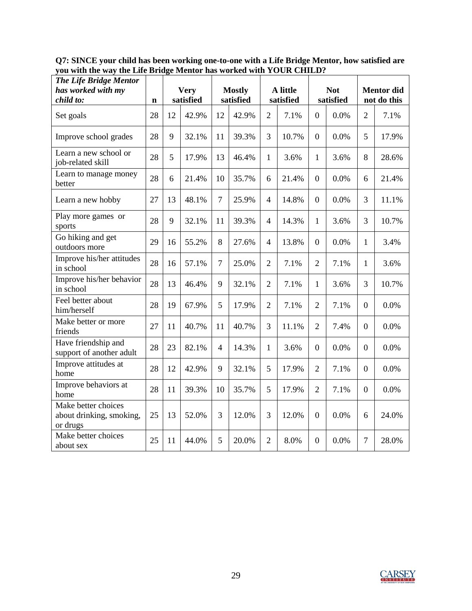**Q7: SINCE your child has been working one-to-one with a Life Bridge Mentor, how satisfied are you with the way the Life Bridge Mentor has worked with YOUR CHILD?**

| The Life Bridge Mentor<br>has worked with my<br>child to:   | $\mathbf n$ |    | <b>Very</b><br>satisfied |                | <b>Mostly</b><br>satisfied |                          | A little<br>satisfied |                  | <b>Not</b><br>satisfied |                  | <b>Mentor</b> did<br>not do this |
|-------------------------------------------------------------|-------------|----|--------------------------|----------------|----------------------------|--------------------------|-----------------------|------------------|-------------------------|------------------|----------------------------------|
| Set goals                                                   | 28          | 12 | 42.9%                    | 12             | 42.9%                      | $\overline{2}$           | 7.1%                  | $\overline{0}$   | 0.0%                    | $\overline{2}$   | 7.1%                             |
| Improve school grades                                       | 28          | 9  | 32.1%                    | 11             | 39.3%                      | 3                        | 10.7%                 | $\overline{0}$   | 0.0%                    | 5                | 17.9%                            |
| Learn a new school or<br>job-related skill                  | 28          | 5  | 17.9%                    | 13             | 46.4%                      | 1                        | 3.6%                  | $\mathbf{1}$     | 3.6%                    | 8                | 28.6%                            |
| Learn to manage money<br>better                             | 28          | 6  | 21.4%                    | 10             | 35.7%                      | 6                        | 21.4%                 | $\boldsymbol{0}$ | 0.0%                    | 6                | 21.4%                            |
| Learn a new hobby                                           | 27          | 13 | 48.1%                    | $\overline{7}$ | 25.9%                      | $\overline{4}$           | 14.8%                 | $\overline{0}$   | 0.0%                    | 3                | 11.1%                            |
| Play more games or<br>sports                                | 28          | 9  | 32.1%                    | 11             | 39.3%                      | $\overline{\mathcal{A}}$ | 14.3%                 | 1                | 3.6%                    | 3                | 10.7%                            |
| Go hiking and get<br>outdoors more                          | 29          | 16 | 55.2%                    | 8              | 27.6%                      | $\overline{\mathcal{A}}$ | 13.8%                 | $\overline{0}$   | 0.0%                    | 1                | 3.4%                             |
| Improve his/her attitudes<br>in school                      | 28          | 16 | 57.1%                    | $\overline{7}$ | 25.0%                      | $\overline{2}$           | 7.1%                  | $\overline{2}$   | 7.1%                    | 1                | 3.6%                             |
| Improve his/her behavior<br>in school                       | 28          | 13 | 46.4%                    | 9              | 32.1%                      | $\overline{2}$           | 7.1%                  | 1                | 3.6%                    | 3                | 10.7%                            |
| Feel better about<br>him/herself                            | 28          | 19 | 67.9%                    | 5              | 17.9%                      | $\overline{2}$           | 7.1%                  | $\overline{2}$   | 7.1%                    | $\boldsymbol{0}$ | 0.0%                             |
| Make better or more<br>friends                              | 27          | 11 | 40.7%                    | 11             | 40.7%                      | 3                        | 11.1%                 | $\overline{2}$   | 7.4%                    | $\boldsymbol{0}$ | 0.0%                             |
| Have friendship and<br>support of another adult             | 28          | 23 | 82.1%                    | $\overline{4}$ | 14.3%                      | 1                        | 3.6%                  | $\boldsymbol{0}$ | 0.0%                    | $\overline{0}$   | 0.0%                             |
| Improve attitudes at<br>home                                | 28          | 12 | 42.9%                    | 9              | 32.1%                      | 5                        | 17.9%                 | $\overline{2}$   | 7.1%                    | $\boldsymbol{0}$ | 0.0%                             |
| Improve behaviors at<br>home                                | 28          | 11 | 39.3%                    | 10             | 35.7%                      | 5                        | 17.9%                 | $\overline{2}$   | 7.1%                    | $\boldsymbol{0}$ | 0.0%                             |
| Make better choices<br>about drinking, smoking,<br>or drugs | 25          | 13 | 52.0%                    | 3              | 12.0%                      | 3                        | 12.0%                 | $\overline{0}$   | 0.0%                    | 6                | 24.0%                            |
| Make better choices<br>about sex                            | 25          | 11 | 44.0%                    | 5              | 20.0%                      | $\overline{2}$           | 8.0%                  | $\boldsymbol{0}$ | 0.0%                    | $\overline{7}$   | 28.0%                            |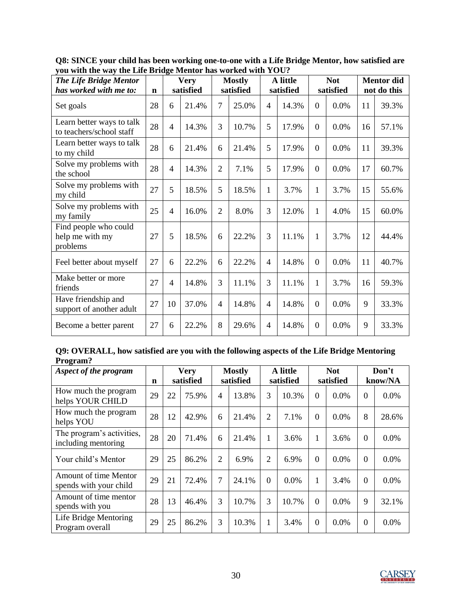| The Life Bridge Mentor<br>has worked with me to:      | $\mathbf n$ |                | <b>Very</b><br>satisfied |                | <b>Mostly</b><br>satisfied |                | A little<br>satisfied |                | <b>Not</b><br>satisfied |    | <b>Mentor</b> did<br>not do this |
|-------------------------------------------------------|-------------|----------------|--------------------------|----------------|----------------------------|----------------|-----------------------|----------------|-------------------------|----|----------------------------------|
| Set goals                                             | 28          | 6              | 21.4%                    | $\overline{7}$ | 25.0%                      | 4              | 14.3%                 | $\Omega$       | 0.0%                    | 11 | 39.3%                            |
| Learn better ways to talk<br>to teachers/school staff | 28          | $\overline{4}$ | 14.3%                    | 3              | 10.7%                      | 5              | 17.9%                 | $\theta$       | 0.0%                    | 16 | 57.1%                            |
| Learn better ways to talk<br>to my child              | 28          | 6              | 21.4%                    | 6              | 21.4%                      | 5              | 17.9%                 | $\theta$       | 0.0%                    | 11 | 39.3%                            |
| Solve my problems with<br>the school                  | 28          | $\overline{4}$ | 14.3%                    | $\overline{2}$ | 7.1%                       | 5              | 17.9%                 | $\theta$       | 0.0%                    | 17 | 60.7%                            |
| Solve my problems with<br>my child                    | 27          | 5              | 18.5%                    | 5              | 18.5%                      | 1              | 3.7%                  | 1              | 3.7%                    | 15 | 55.6%                            |
| Solve my problems with<br>my family                   | 25          | $\overline{4}$ | 16.0%                    | $\overline{2}$ | 8.0%                       | 3              | 12.0%                 | 1              | 4.0%                    | 15 | 60.0%                            |
| Find people who could<br>help me with my<br>problems  | 27          | 5              | 18.5%                    | 6              | 22.2%                      | 3              | 11.1%                 | $\mathbf{1}$   | 3.7%                    | 12 | 44.4%                            |
| Feel better about myself                              | 27          | 6              | 22.2%                    | 6              | 22.2%                      | 4              | 14.8%                 | $\overline{0}$ | 0.0%                    | 11 | 40.7%                            |
| Make better or more<br>friends                        | 27          | $\overline{4}$ | 14.8%                    | 3              | 11.1%                      | 3              | 11.1%                 | $\mathbf{1}$   | 3.7%                    | 16 | 59.3%                            |
| Have friendship and<br>support of another adult       | 27          | 10             | 37.0%                    | 4              | 14.8%                      | $\overline{4}$ | 14.8%                 | $\overline{0}$ | 0.0%                    | 9  | 33.3%                            |
| Become a better parent                                | 27          | 6              | 22.2%                    | 8              | 29.6%                      | 4              | 14.8%                 | $\theta$       | 0.0%                    | 9  | 33.3%                            |

**Q8: SINCE your child has been working one-to-one with a Life Bridge Mentor, how satisfied are you with the way the Life Bridge Mentor has worked with YOU?**

|          | Q9: OVERALL, how satisfied are you with the following aspects of the Life Bridge Mentoring |  |  |
|----------|--------------------------------------------------------------------------------------------|--|--|
| Program? |                                                                                            |  |  |

| Aspect of the program                            |    |    | <b>Very</b> |                | <b>Mostly</b> |                | A little  |          | <b>Not</b> | Don't    |         |
|--------------------------------------------------|----|----|-------------|----------------|---------------|----------------|-----------|----------|------------|----------|---------|
|                                                  | n  |    | satisfied   |                | satisfied     |                | satisfied |          | satisfied  |          | know/NA |
| How much the program<br>helps YOUR CHILD         | 29 | 22 | 75.9%       | $\overline{4}$ | 13.8%         | 3              | 10.3%     | $\Omega$ | $0.0\%$    | $\Omega$ | 0.0%    |
| How much the program<br>helps YOU                | 28 | 12 | 42.9%       | 6              | 21.4%         | $\overline{2}$ | 7.1%      | $\Omega$ | 0.0%       | 8        | 28.6%   |
| The program's activities,<br>including mentoring | 28 | 20 | 71.4%       | 6              | 21.4%         | 1              | 3.6%      | 1        | 3.6%       | $\Omega$ | 0.0%    |
| Your child's Mentor                              | 29 | 25 | 86.2%       | 2              | 6.9%          | $\overline{2}$ | 6.9%      | $\Omega$ | $0.0\%$    | $\Omega$ | 0.0%    |
| Amount of time Mentor<br>spends with your child  | 29 | 21 | 72.4%       | 7              | 24.1%         | $\Omega$       | $0.0\%$   | 1        | 3.4%       | $\Omega$ | 0.0%    |
| Amount of time mentor<br>spends with you         | 28 | 13 | 46.4%       | 3              | 10.7%         | 3              | 10.7%     | $\Omega$ | $0.0\%$    | 9        | 32.1%   |
| Life Bridge Mentoring<br>Program overall         | 29 | 25 | 86.2%       | 3              | 10.3%         | 1              | 3.4%      | $\Omega$ | $0.0\%$    | $\Omega$ | 0.0%    |

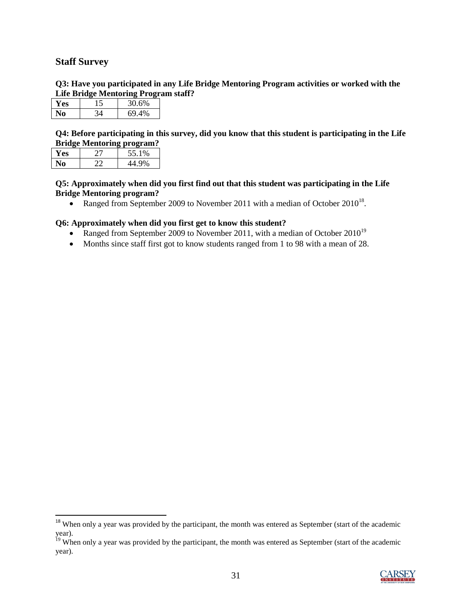#### <span id="page-30-0"></span>**Staff Survey**

 $\overline{\phantom{a}}$ 

**Q3: Have you participated in any Life Bridge Mentoring Program activities or worked with the Life Bridge Mentoring Program staff?**

| 7 ES | 30.6%          |  |
|------|----------------|--|
|      | 6 <sup>o</sup> |  |

**Q4: Before participating in this survey, did you know that this student is participating in the Life Bridge Mentoring program?**

| r es | 55.1%     |
|------|-----------|
|      | 00/<br>70 |

**Q5: Approximately when did you first find out that this student was participating in the Life Bridge Mentoring program?**

• Ranged from September 2009 to November 2011 with a median of October  $2010^{18}$ .

#### **Q6: Approximately when did you first get to know this student?**

- Ranged from September 2009 to November 2011, with a median of October  $2010^{19}$
- Months since staff first got to know students ranged from 1 to 98 with a mean of 28.

<sup>&</sup>lt;sup>19</sup> When only a year was provided by the participant, the month was entered as September (start of the academic year).



<sup>&</sup>lt;sup>18</sup> When only a year was provided by the participant, the month was entered as September (start of the academic year).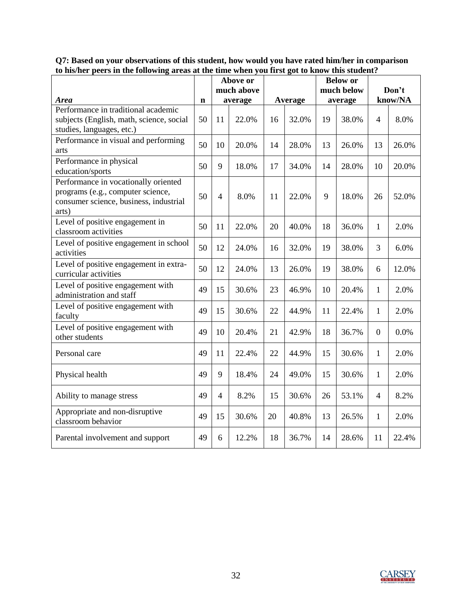| to ms/nci pecis in the following areas at the time when you mist got to know this student.                                   |             | Above or       |         |    |         | <b>Below or</b> |         |                  |         |
|------------------------------------------------------------------------------------------------------------------------------|-------------|----------------|---------|----|---------|-----------------|---------|------------------|---------|
|                                                                                                                              |             | much above     |         |    |         | much below      |         | Don't            |         |
| <b>Area</b><br>Performance in traditional academic                                                                           | $\mathbf n$ |                | average |    | Average |                 | average |                  | know/NA |
| subjects (English, math, science, social<br>studies, languages, etc.)                                                        | 50          | 11             | 22.0%   | 16 | 32.0%   | 19              | 38.0%   | $\overline{4}$   | 8.0%    |
| Performance in visual and performing<br>arts                                                                                 | 50          | 10             | 20.0%   | 14 | 28.0%   | 13              | 26.0%   | 13               | 26.0%   |
| Performance in physical<br>education/sports                                                                                  | 50          | 9              | 18.0%   | 17 | 34.0%   | 14              | 28.0%   | 10               | 20.0%   |
| Performance in vocationally oriented<br>programs (e.g., computer science,<br>consumer science, business, industrial<br>arts) | 50          | $\overline{4}$ | 8.0%    | 11 | 22.0%   | 9               | 18.0%   | 26               | 52.0%   |
| Level of positive engagement in<br>classroom activities                                                                      | 50          | 11             | 22.0%   | 20 | 40.0%   | 18              | 36.0%   | $\mathbf{1}$     | 2.0%    |
| Level of positive engagement in school<br>activities                                                                         | 50          | 12             | 24.0%   | 16 | 32.0%   | 19              | 38.0%   | 3                | 6.0%    |
| Level of positive engagement in extra-<br>curricular activities                                                              | 50          | 12             | 24.0%   | 13 | 26.0%   | 19              | 38.0%   | 6                | 12.0%   |
| Level of positive engagement with<br>administration and staff                                                                | 49          | 15             | 30.6%   | 23 | 46.9%   | 10              | 20.4%   | $\mathbf{1}$     | 2.0%    |
| Level of positive engagement with<br>faculty                                                                                 | 49          | 15             | 30.6%   | 22 | 44.9%   | 11              | 22.4%   | 1                | 2.0%    |
| Level of positive engagement with<br>other students                                                                          | 49          | 10             | 20.4%   | 21 | 42.9%   | 18              | 36.7%   | $\boldsymbol{0}$ | 0.0%    |
| Personal care                                                                                                                | 49          | 11             | 22.4%   | 22 | 44.9%   | 15              | 30.6%   | $\mathbf{1}$     | 2.0%    |
| Physical health                                                                                                              | 49          | 9              | 18.4%   | 24 | 49.0%   | 15              | 30.6%   | $\mathbf{1}$     | 2.0%    |
| Ability to manage stress                                                                                                     | 49          | $\overline{4}$ | 8.2%    | 15 | 30.6%   | 26              | 53.1%   | $\overline{4}$   | 8.2%    |
| Appropriate and non-disruptive<br>classroom behavior                                                                         | 49          | 15             | 30.6%   | 20 | 40.8%   | 13              | 26.5%   | $\mathbf{1}$     | 2.0%    |
| Parental involvement and support                                                                                             | 49          | 6              | 12.2%   | 18 | 36.7%   | 14              | 28.6%   | 11               | 22.4%   |

**Q7: Based on your observations of this student, how would you have rated him/her in comparison to his/her peers in the following areas at the time when you first got to know this student?**

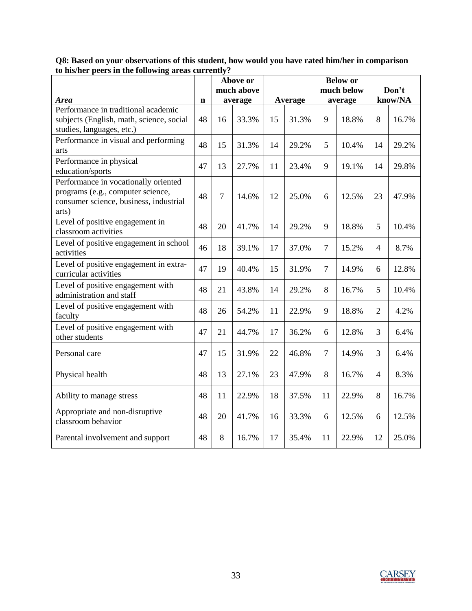|                                                                                                                              |             | Above or<br>much above |       |         |       | <b>Below</b> or<br>much below |       | Don't          |       |
|------------------------------------------------------------------------------------------------------------------------------|-------------|------------------------|-------|---------|-------|-------------------------------|-------|----------------|-------|
| <b>Area</b>                                                                                                                  | $\mathbf n$ | average                |       | Average |       | average                       |       | know/NA        |       |
| Performance in traditional academic<br>subjects (English, math, science, social<br>studies, languages, etc.)                 | 48          | 16                     | 33.3% | 15      | 31.3% | 9                             | 18.8% | 8              | 16.7% |
| Performance in visual and performing<br>arts                                                                                 | 48          | 15                     | 31.3% | 14      | 29.2% | 5                             | 10.4% | 14             | 29.2% |
| Performance in physical<br>education/sports                                                                                  | 47          | 13                     | 27.7% | 11      | 23.4% | 9                             | 19.1% | 14             | 29.8% |
| Performance in vocationally oriented<br>programs (e.g., computer science,<br>consumer science, business, industrial<br>arts) | 48          | $\overline{7}$         | 14.6% | 12      | 25.0% | 6                             | 12.5% | 23             | 47.9% |
| Level of positive engagement in<br>classroom activities                                                                      | 48          | 20                     | 41.7% | 14      | 29.2% | 9                             | 18.8% | 5              | 10.4% |
| Level of positive engagement in school<br>activities                                                                         | 46          | 18                     | 39.1% | 17      | 37.0% | $\overline{7}$                | 15.2% | $\overline{4}$ | 8.7%  |
| Level of positive engagement in extra-<br>curricular activities                                                              | 47          | 19                     | 40.4% | 15      | 31.9% | $\overline{7}$                | 14.9% | 6              | 12.8% |
| Level of positive engagement with<br>administration and staff                                                                | 48          | 21                     | 43.8% | 14      | 29.2% | 8                             | 16.7% | 5              | 10.4% |
| Level of positive engagement with<br>faculty                                                                                 | 48          | 26                     | 54.2% | 11      | 22.9% | 9                             | 18.8% | $\overline{2}$ | 4.2%  |
| Level of positive engagement with<br>other students                                                                          | 47          | 21                     | 44.7% | 17      | 36.2% | 6                             | 12.8% | 3              | 6.4%  |
| Personal care                                                                                                                | 47          | 15                     | 31.9% | 22      | 46.8% | $\overline{7}$                | 14.9% | 3              | 6.4%  |
| Physical health                                                                                                              | 48          | 13                     | 27.1% | 23      | 47.9% | 8                             | 16.7% | $\overline{4}$ | 8.3%  |
| Ability to manage stress                                                                                                     | 48          | 11                     | 22.9% | 18      | 37.5% | 11                            | 22.9% | 8              | 16.7% |
| Appropriate and non-disruptive<br>classroom behavior                                                                         | 48          | 20                     | 41.7% | 16      | 33.3% | 6                             | 12.5% | 6              | 12.5% |
| Parental involvement and support                                                                                             | 48          | 8                      | 16.7% | 17      | 35.4% | 11                            | 22.9% | 12             | 25.0% |

**Q8: Based on your observations of this student, how would you have rated him/her in comparison to his/her peers in the following areas currently?**